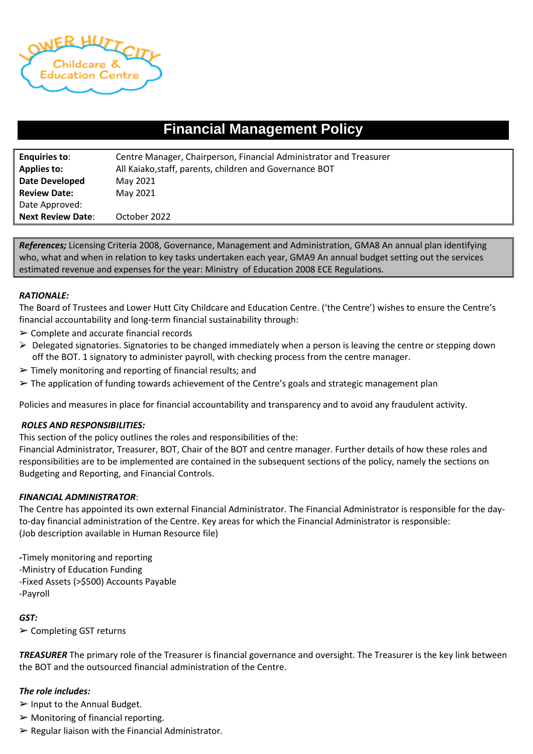

# **Financial Management Policy**

| <b>Enquiries to:</b>     | Centre Manager, Chairperson, Financial Administrator and Treasurer |  |  |
|--------------------------|--------------------------------------------------------------------|--|--|
| <b>Applies to:</b>       | All Kaiako, staff, parents, children and Governance BOT            |  |  |
| <b>Date Developed</b>    | May 2021                                                           |  |  |
| <b>Review Date:</b>      | May 2021                                                           |  |  |
| Date Approved:           |                                                                    |  |  |
| <b>Next Review Date:</b> | October 2022                                                       |  |  |

*References;* Licensing Criteria 2008, Governance, Management and Administration, GMA8 An annual plan identifying who, what and when in relation to key tasks undertaken each year, GMA9 An annual budget setting out the services estimated revenue and expenses for the year: Ministry of Education 2008 ECE Regulations.

## *RATIONALE:*

The Board of Trustees and Lower Hutt City Childcare and Education Centre. ('the Centre') wishes to ensure the Centre's financial accountability and long-term financial sustainability through:

- $\triangleright$  Complete and accurate financial records
- $\triangleright$  Delegated signatories. Signatories to be changed immediately when a person is leaving the centre or stepping down off the BOT. 1 signatory to administer payroll, with checking process from the centre manager.
- $\triangleright$  Timely monitoring and reporting of financial results; and
- $\triangleright$  The application of funding towards achievement of the Centre's goals and strategic management plan

Policies and measures in place for financial accountability and transparency and to avoid any fraudulent activity.

## *ROLES AND RESPONSIBILITIES:*

This section of the policy outlines the roles and responsibilities of the:

Financial Administrator, Treasurer, BOT, Chair of the BOT and centre manager. Further details of how these roles and responsibilities are to be implemented are contained in the subsequent sections of the policy, namely the sections on Budgeting and Reporting, and Financial Controls.

## *FINANCIAL ADMINISTRATOR*:

The Centre has appointed its own external Financial Administrator. The Financial Administrator is responsible for the dayto-day financial administration of the Centre. Key areas for which the Financial Administrator is responsible: (Job description available in Human Resource file)

*-*Timely monitoring and reporting -Ministry of Education Funding -Fixed Assets (>\$500) Accounts Payable -Payroll

# *GST:*

➢ Completing GST returns

*TREASURER* The primary role of the Treasurer is financial governance and oversight. The Treasurer is the key link between the BOT and the outsourced financial administration of the Centre.

# *The role includes:*

- $\triangleright$  Input to the Annual Budget.
- $\triangleright$  Monitoring of financial reporting.
- $\triangleright$  Regular liaison with the Financial Administrator.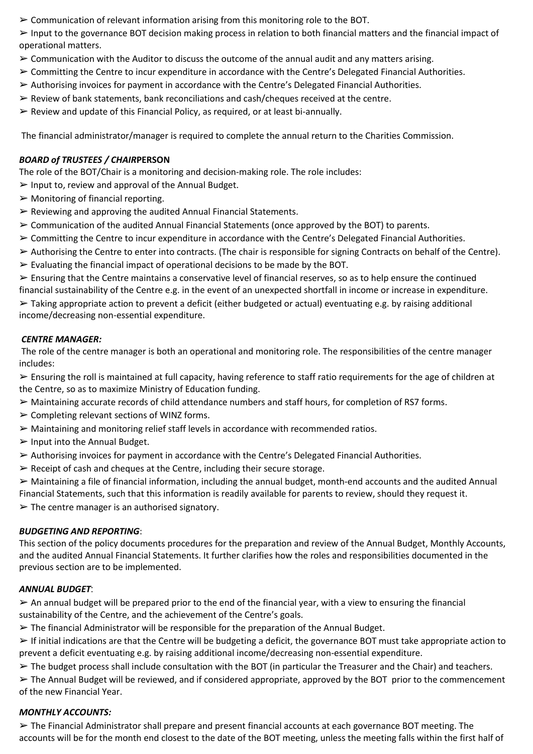$\geq$  Communication of relevant information arising from this monitoring role to the BOT.

 $\triangleright$  Input to the governance BOT decision making process in relation to both financial matters and the financial impact of operational matters.

- $\geq$  Communication with the Auditor to discuss the outcome of the annual audit and any matters arising.
- ➢ Committing the Centre to incur expenditure in accordance with the Centre's Delegated Financial Authorities.
- $\triangleright$  Authorising invoices for payment in accordance with the Centre's Delegated Financial Authorities.
- $\triangleright$  Review of bank statements, bank reconciliations and cash/cheques received at the centre.
- ➢ Review and update of this Financial Policy, as required, or at least bi-annually.

The financial administrator/manager is required to complete the annual return to the Charities Commission.

# *BOARD of TRUSTEES / CHAIR***PERSON**

The role of the BOT/Chair is a monitoring and decision-making role. The role includes:

- $\triangleright$  Input to, review and approval of the Annual Budget.
- $\triangleright$  Monitoring of financial reporting.
- $\triangleright$  Reviewing and approving the audited Annual Financial Statements.
- $\geq$  Communication of the audited Annual Financial Statements (once approved by the BOT) to parents.
- ➢ Committing the Centre to incur expenditure in accordance with the Centre's Delegated Financial Authorities.
- ➢ Authorising the Centre to enter into contracts. (The chair is responsible for signing Contracts on behalf of the Centre).
- $\triangleright$  Evaluating the financial impact of operational decisions to be made by the BOT.

 $\triangleright$  Ensuring that the Centre maintains a conservative level of financial reserves, so as to help ensure the continued financial sustainability of the Centre e.g. in the event of an unexpected shortfall in income or increase in expenditure.

 $\triangleright$  Taking appropriate action to prevent a deficit (either budgeted or actual) eventuating e.g. by raising additional income/decreasing non-essential expenditure.

# *CENTRE MANAGER:*

The role of the centre manager is both an operational and monitoring role. The responsibilities of the centre manager includes:

➢ Ensuring the roll is maintained at full capacity, having reference to staff ratio requirements for the age of children at the Centre, so as to maximize Ministry of Education funding.

- $\triangleright$  Maintaining accurate records of child attendance numbers and staff hours, for completion of RS7 forms.
- $\triangleright$  Completing relevant sections of WINZ forms.
- ➢ Maintaining and monitoring relief staff levels in accordance with recommended ratios.
- $\triangleright$  Input into the Annual Budget.
- $\triangleright$  Authorising invoices for payment in accordance with the Centre's Delegated Financial Authorities.
- $\triangleright$  Receipt of cash and cheques at the Centre, including their secure storage.

 $\triangleright$  Maintaining a file of financial information, including the annual budget, month-end accounts and the audited Annual Financial Statements, such that this information is readily available for parents to review, should they request it.

 $\triangleright$  The centre manager is an authorised signatory.

# *BUDGETING AND REPORTING*:

This section of the policy documents procedures for the preparation and review of the Annual Budget, Monthly Accounts, and the audited Annual Financial Statements. It further clarifies how the roles and responsibilities documented in the previous section are to be implemented.

# *ANNUAL BUDGET*:

 $\triangleright$  An annual budget will be prepared prior to the end of the financial year, with a view to ensuring the financial sustainability of the Centre, and the achievement of the Centre's goals.

 $\triangleright$  The financial Administrator will be responsible for the preparation of the Annual Budget.

 $\triangleright$  If initial indications are that the Centre will be budgeting a deficit, the governance BOT must take appropriate action to prevent a deficit eventuating e.g. by raising additional income/decreasing non-essential expenditure.

 $\triangleright$  The budget process shall include consultation with the BOT (in particular the Treasurer and the Chair) and teachers.

➢ The Annual Budget will be reviewed, and if considered appropriate, approved by the BOT prior to the commencement of the new Financial Year.

# *MONTHLY ACCOUNTS:*

➢ The Financial Administrator shall prepare and present financial accounts at each governance BOT meeting. The accounts will be for the month end closest to the date of the BOT meeting, unless the meeting falls within the first half of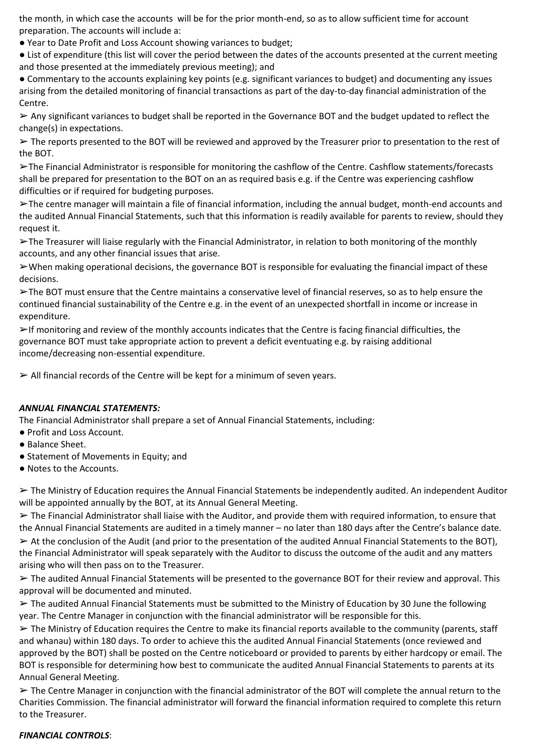the month, in which case the accounts will be for the prior month-end, so as to allow sufficient time for account preparation. The accounts will include a:

● Year to Date Profit and Loss Account showing variances to budget;

● List of expenditure (this list will cover the period between the dates of the accounts presented at the current meeting and those presented at the immediately previous meeting); and

● Commentary to the accounts explaining key points (e.g. significant variances to budget) and documenting any issues arising from the detailed monitoring of financial transactions as part of the day-to-day financial administration of the Centre.

➢ Any significant variances to budget shall be reported in the Governance BOT and the budget updated to reflect the change(s) in expectations.

➢ The reports presented to the BOT will be reviewed and approved by the Treasurer prior to presentation to the rest of the BOT.

➢The Financial Administrator is responsible for monitoring the cashflow of the Centre. Cashflow statements/forecasts shall be prepared for presentation to the BOT on an as required basis e.g. if the Centre was experiencing cashflow difficulties or if required for budgeting purposes.

➢The centre manager will maintain a file of financial information, including the annual budget, month-end accounts and the audited Annual Financial Statements, such that this information is readily available for parents to review, should they request it.

➢The Treasurer will liaise regularly with the Financial Administrator, in relation to both monitoring of the monthly accounts, and any other financial issues that arise.

 $\triangleright$  When making operational decisions, the governance BOT is responsible for evaluating the financial impact of these decisions.

➢The BOT must ensure that the Centre maintains a conservative level of financial reserves, so as to help ensure the continued financial sustainability of the Centre e.g. in the event of an unexpected shortfall in income or increase in expenditure.

 $\triangleright$ If monitoring and review of the monthly accounts indicates that the Centre is facing financial difficulties, the governance BOT must take appropriate action to prevent a deficit eventuating e.g. by raising additional income/decreasing non-essential expenditure.

 $\triangleright$  All financial records of the Centre will be kept for a minimum of seven years.

## *ANNUAL FINANCIAL STATEMENTS:*

The Financial Administrator shall prepare a set of Annual Financial Statements, including:

- Profit and Loss Account.
- Balance Sheet.
- Statement of Movements in Equity; and
- Notes to the Accounts.

 $\triangleright$  The Ministry of Education requires the Annual Financial Statements be independently audited. An independent Auditor will be appointed annually by the BOT, at its Annual General Meeting.

 $\triangleright$  The Financial Administrator shall liaise with the Auditor, and provide them with required information, to ensure that the Annual Financial Statements are audited in a timely manner – no later than 180 days after the Centre's balance date.

 $\triangleright$  At the conclusion of the Audit (and prior to the presentation of the audited Annual Financial Statements to the BOT), the Financial Administrator will speak separately with the Auditor to discuss the outcome of the audit and any matters arising who will then pass on to the Treasurer.

➢ The audited Annual Financial Statements will be presented to the governance BOT for their review and approval. This approval will be documented and minuted.

➢ The audited Annual Financial Statements must be submitted to the Ministry of Education by 30 June the following year. The Centre Manager in conjunction with the financial administrator will be responsible for this.

 $\triangleright$  The Ministry of Education requires the Centre to make its financial reports available to the community (parents, staff and whanau) within 180 days. To order to achieve this the audited Annual Financial Statements (once reviewed and approved by the BOT) shall be posted on the Centre noticeboard or provided to parents by either hardcopy or email. The BOT is responsible for determining how best to communicate the audited Annual Financial Statements to parents at its Annual General Meeting.

➢ The Centre Manager in conjunction with the financial administrator of the BOT will complete the annual return to the Charities Commission. The financial administrator will forward the financial information required to complete this return to the Treasurer.

## *FINANCIAL CONTROLS*: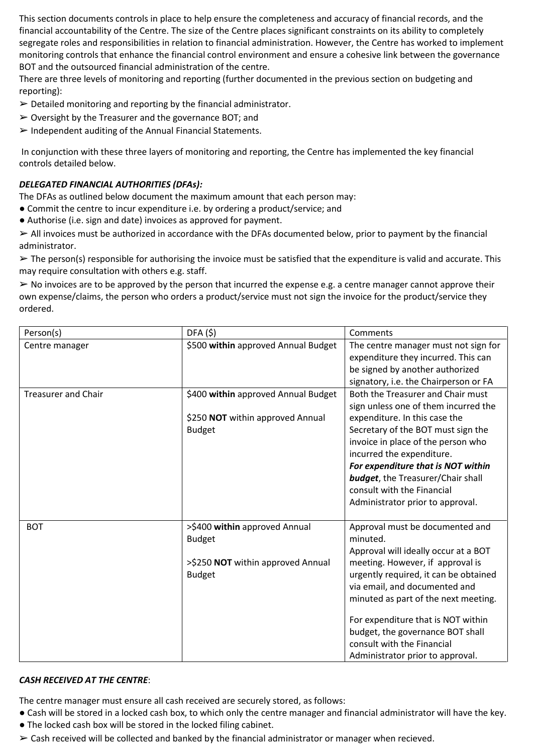This section documents controls in place to help ensure the completeness and accuracy of financial records, and the financial accountability of the Centre. The size of the Centre places significant constraints on its ability to completely segregate roles and responsibilities in relation to financial administration. However, the Centre has worked to implement monitoring controls that enhance the financial control environment and ensure a cohesive link between the governance BOT and the outsourced financial administration of the centre.

There are three levels of monitoring and reporting (further documented in the previous section on budgeting and reporting):

- $\triangleright$  Detailed monitoring and reporting by the financial administrator.
- $\triangleright$  Oversight by the Treasurer and the governance BOT; and
- $\triangleright$  Independent auditing of the Annual Financial Statements.

In conjunction with these three layers of monitoring and reporting, the Centre has implemented the key financial controls detailed below.

# *DELEGATED FINANCIAL AUTHORITIES (DFAs):*

The DFAs as outlined below document the maximum amount that each person may:

- Commit the centre to incur expenditure i.e. by ordering a product/service; and
- Authorise (i.e. sign and date) invoices as approved for payment.

 $\triangleright$  All invoices must be authorized in accordance with the DFAs documented below, prior to payment by the financial administrator.

 $\triangleright$  The person(s) responsible for authorising the invoice must be satisfied that the expenditure is valid and accurate. This may require consultation with others e.g. staff.

➢ No invoices are to be approved by the person that incurred the expense e.g. a centre manager cannot approve their own expense/claims, the person who orders a product/service must not sign the invoice for the product/service they ordered.

| Person(s)                  | DFA(5)                                                                                               | Comments                                                                                                                                                                                                                                                                                                                                                                              |
|----------------------------|------------------------------------------------------------------------------------------------------|---------------------------------------------------------------------------------------------------------------------------------------------------------------------------------------------------------------------------------------------------------------------------------------------------------------------------------------------------------------------------------------|
| Centre manager             | \$500 within approved Annual Budget                                                                  | The centre manager must not sign for<br>expenditure they incurred. This can<br>be signed by another authorized<br>signatory, i.e. the Chairperson or FA                                                                                                                                                                                                                               |
| <b>Treasurer and Chair</b> | \$400 within approved Annual Budget<br>\$250 NOT within approved Annual<br><b>Budget</b>             | Both the Treasurer and Chair must<br>sign unless one of them incurred the<br>expenditure. In this case the<br>Secretary of the BOT must sign the<br>invoice in place of the person who<br>incurred the expenditure.<br>For expenditure that is NOT within<br><b>budget</b> , the Treasurer/Chair shall<br>consult with the Financial<br>Administrator prior to approval.              |
| <b>BOT</b>                 | >\$400 within approved Annual<br><b>Budget</b><br>>\$250 NOT within approved Annual<br><b>Budget</b> | Approval must be documented and<br>minuted.<br>Approval will ideally occur at a BOT<br>meeting. However, if approval is<br>urgently required, it can be obtained<br>via email, and documented and<br>minuted as part of the next meeting.<br>For expenditure that is NOT within<br>budget, the governance BOT shall<br>consult with the Financial<br>Administrator prior to approval. |

# *CASH RECEIVED AT THE CENTRE*:

The centre manager must ensure all cash received are securely stored, as follows:

- Cash will be stored in a locked cash box, to which only the centre manager and financial administrator will have the key.
- The locked cash box will be stored in the locked filing cabinet.
- ➢ Cash received will be collected and banked by the financial administrator or manager when recieved.